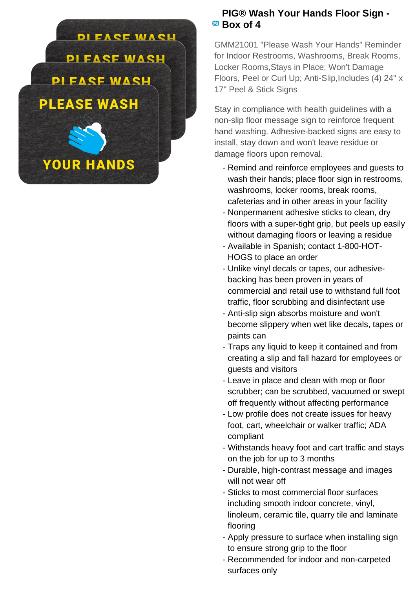

## **PIG® Wash Your Hands Floor Sign -** <sup>**B<sub>B</sub></sup> Box of 4</sup>**

GMM21001 "Please Wash Your Hands" Reminder for Indoor Restrooms, Washrooms, Break Rooms, Locker Rooms,Stays in Place; Won't Damage Floors, Peel or Curl Up; Anti-Slip,Includes (4) 24" x 17" Peel & Stick Signs

Stay in compliance with health guidelines with a non-slip floor message sign to reinforce frequent hand washing. Adhesive-backed signs are easy to install, stay down and won't leave residue or damage floors upon removal.

- Remind and reinforce employees and guests to wash their hands; place floor sign in restrooms, washrooms, locker rooms, break rooms, cafeterias and in other areas in your facility
- Nonpermanent adhesive sticks to clean, dry floors with a super-tight grip, but peels up easily without damaging floors or leaving a residue
- Available in Spanish; contact 1-800-HOT-HOGS to place an order
- Unlike vinyl decals or tapes, our adhesive- backing has been proven in years of commercial and retail use to withstand full foot traffic, floor scrubbing and disinfectant use
- Anti-slip sign absorbs moisture and won't become slippery when wet like decals, tapes or paints can
- Traps any liquid to keep it contained and from creating a slip and fall hazard for employees or guests and visitors
- Leave in place and clean with mop or floor scrubber; can be scrubbed, vacuumed or swept off frequently without affecting performance
- Low profile does not create issues for heavy foot, cart, wheelchair or walker traffic; ADA compliant
- Withstands heavy foot and cart traffic and stays on the job for up to 3 months
- Durable, high-contrast message and images will not wear off
- Sticks to most commercial floor surfaces including smooth indoor concrete, vinyl, linoleum, ceramic tile, quarry tile and laminate flooring
- Apply pressure to surface when installing sign to ensure strong grip to the floor
- Recommended for indoor and non-carpeted surfaces only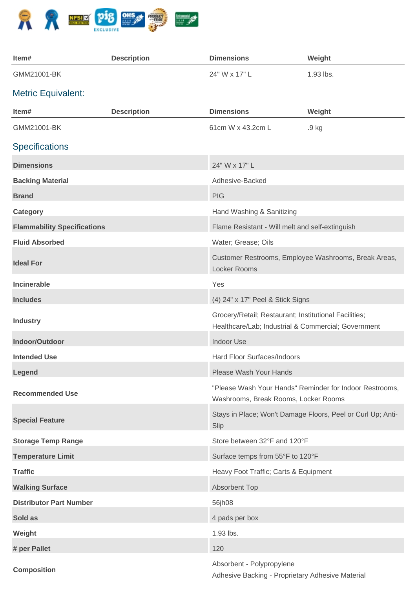

| Item#                              | <b>Description</b> | <b>Dimensions</b>                                                                                            | Weight                                                      |
|------------------------------------|--------------------|--------------------------------------------------------------------------------------------------------------|-------------------------------------------------------------|
| GMM21001-BK                        |                    | 24" W x 17" L                                                                                                | 1.93 lbs.                                                   |
| <b>Metric Equivalent:</b>          |                    |                                                                                                              |                                                             |
| Item#                              | <b>Description</b> | <b>Dimensions</b>                                                                                            | Weight                                                      |
| GMM21001-BK                        |                    | 61cm W x 43.2cm L                                                                                            | .9 kg                                                       |
| <b>Specifications</b>              |                    |                                                                                                              |                                                             |
| <b>Dimensions</b>                  |                    | 24" W x 17" L                                                                                                |                                                             |
| <b>Backing Material</b>            |                    | Adhesive-Backed                                                                                              |                                                             |
| <b>Brand</b>                       |                    | <b>PIG</b>                                                                                                   |                                                             |
| Category                           |                    | Hand Washing & Sanitizing                                                                                    |                                                             |
| <b>Flammability Specifications</b> |                    | Flame Resistant - Will melt and self-extinguish                                                              |                                                             |
| <b>Fluid Absorbed</b>              |                    | Water; Grease; Oils                                                                                          |                                                             |
| <b>Ideal For</b>                   |                    | Customer Restrooms, Employee Washrooms, Break Areas,<br>Locker Rooms                                         |                                                             |
| <b>Incinerable</b>                 |                    | Yes                                                                                                          |                                                             |
| <b>Includes</b>                    |                    | (4) 24" x 17" Peel & Stick Signs                                                                             |                                                             |
| <b>Industry</b>                    |                    | Grocery/Retail; Restaurant; Institutional Facilities;<br>Healthcare/Lab; Industrial & Commercial; Government |                                                             |
| Indoor/Outdoor                     |                    | Indoor Use                                                                                                   |                                                             |
| <b>Intended Use</b>                |                    | Hard Floor Surfaces/Indoors                                                                                  |                                                             |
| Legend                             |                    | Please Wash Your Hands                                                                                       |                                                             |
| <b>Recommended Use</b>             |                    | Washrooms, Break Rooms, Locker Rooms                                                                         | "Please Wash Your Hands" Reminder for Indoor Restrooms,     |
| <b>Special Feature</b>             |                    | Slip                                                                                                         | Stays in Place; Won't Damage Floors, Peel or Curl Up; Anti- |
| <b>Storage Temp Range</b>          |                    | Store between 32°F and 120°F                                                                                 |                                                             |
| <b>Temperature Limit</b>           |                    | Surface temps from 55°F to 120°F                                                                             |                                                             |
| <b>Traffic</b>                     |                    | Heavy Foot Traffic; Carts & Equipment                                                                        |                                                             |
| <b>Walking Surface</b>             |                    | <b>Absorbent Top</b>                                                                                         |                                                             |
| <b>Distributor Part Number</b>     |                    | 56jh08                                                                                                       |                                                             |
| Sold as                            |                    | 4 pads per box                                                                                               |                                                             |
| Weight                             |                    | 1.93 lbs.                                                                                                    |                                                             |
| # per Pallet                       |                    | 120                                                                                                          |                                                             |
| <b>Composition</b>                 |                    | Absorbent - Polypropylene<br>Adhesive Backing - Proprietary Adhesive Material                                |                                                             |